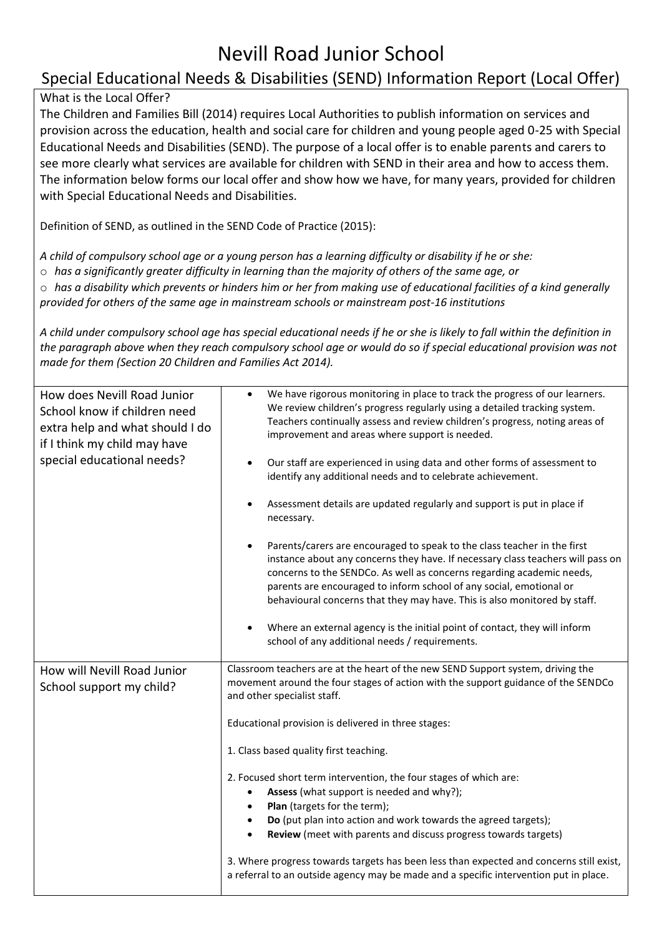## Nevill Road Junior School

## Special Educational Needs & Disabilities (SEND) Information Report (Local Offer)

## What is the Local Offer?

The Children and Families Bill (2014) requires Local Authorities to publish information on services and provision across the education, health and social care for children and young people aged 0-25 with Special Educational Needs and Disabilities (SEND). The purpose of a local offer is to enable parents and carers to see more clearly what services are available for children with SEND in their area and how to access them. The information below forms our local offer and show how we have, for many years, provided for children with Special Educational Needs and Disabilities.

Definition of SEND, as outlined in the SEND Code of Practice (2015):

*A child of compulsory school age or a young person has a learning difficulty or disability if he or she:* 

o *has a significantly greater difficulty in learning than the majority of others of the same age, or* 

o *has a disability which prevents or hinders him or her from making use of educational facilities of a kind generally* 

*provided for others of the same age in mainstream schools or mainstream post-16 institutions* 

*A child under compulsory school age has special educational needs if he or she is likely to fall within the definition in the paragraph above when they reach compulsory school age or would do so if special educational provision was not made for them (Section 20 Children and Families Act 2014).* 

| How does Nevill Road Junior<br>School know if children need<br>extra help and what should I do<br>if I think my child may have<br>special educational needs? | We have rigorous monitoring in place to track the progress of our learners.<br>$\bullet$<br>We review children's progress regularly using a detailed tracking system.<br>Teachers continually assess and review children's progress, noting areas of<br>improvement and areas where support is needed.<br>Our staff are experienced in using data and other forms of assessment to<br>identify any additional needs and to celebrate achievement.<br>Assessment details are updated regularly and support is put in place if<br>necessary.<br>Parents/carers are encouraged to speak to the class teacher in the first<br>instance about any concerns they have. If necessary class teachers will pass on<br>concerns to the SENDCo. As well as concerns regarding academic needs,<br>parents are encouraged to inform school of any social, emotional or<br>behavioural concerns that they may have. This is also monitored by staff.<br>Where an external agency is the initial point of contact, they will inform<br>school of any additional needs / requirements. |
|--------------------------------------------------------------------------------------------------------------------------------------------------------------|------------------------------------------------------------------------------------------------------------------------------------------------------------------------------------------------------------------------------------------------------------------------------------------------------------------------------------------------------------------------------------------------------------------------------------------------------------------------------------------------------------------------------------------------------------------------------------------------------------------------------------------------------------------------------------------------------------------------------------------------------------------------------------------------------------------------------------------------------------------------------------------------------------------------------------------------------------------------------------------------------------------------------------------------------------------------|
| How will Nevill Road Junior<br>School support my child?                                                                                                      | Classroom teachers are at the heart of the new SEND Support system, driving the<br>movement around the four stages of action with the support guidance of the SENDCo<br>and other specialist staff.<br>Educational provision is delivered in three stages:<br>1. Class based quality first teaching.<br>2. Focused short term intervention, the four stages of which are:<br>Assess (what support is needed and why?);<br>Plan (targets for the term);<br>$\bullet$<br>Do (put plan into action and work towards the agreed targets);<br>Review (meet with parents and discuss progress towards targets)<br>3. Where progress towards targets has been less than expected and concerns still exist,<br>a referral to an outside agency may be made and a specific intervention put in place.                                                                                                                                                                                                                                                                           |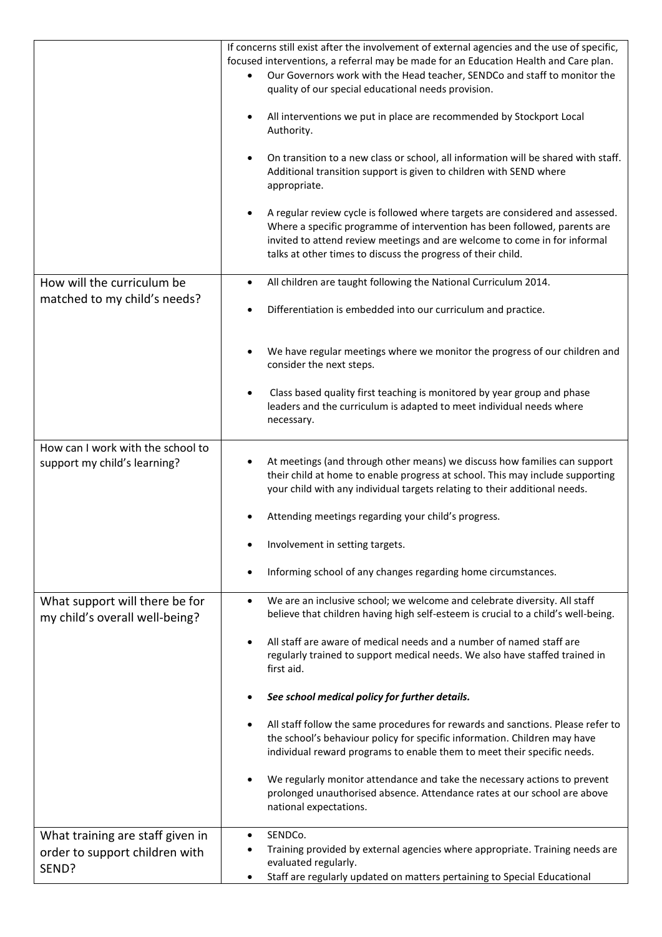|                                                                   | If concerns still exist after the involvement of external agencies and the use of specific,<br>focused interventions, a referral may be made for an Education Health and Care plan.<br>Our Governors work with the Head teacher, SENDCo and staff to monitor the<br>quality of our special educational needs provision. |
|-------------------------------------------------------------------|-------------------------------------------------------------------------------------------------------------------------------------------------------------------------------------------------------------------------------------------------------------------------------------------------------------------------|
|                                                                   | All interventions we put in place are recommended by Stockport Local<br>Authority.                                                                                                                                                                                                                                      |
|                                                                   | On transition to a new class or school, all information will be shared with staff.<br>Additional transition support is given to children with SEND where<br>appropriate.                                                                                                                                                |
|                                                                   | A regular review cycle is followed where targets are considered and assessed.<br>Where a specific programme of intervention has been followed, parents are<br>invited to attend review meetings and are welcome to come in for informal<br>talks at other times to discuss the progress of their child.                 |
| How will the curriculum be<br>matched to my child's needs?        | All children are taught following the National Curriculum 2014.<br>$\bullet$                                                                                                                                                                                                                                            |
|                                                                   | Differentiation is embedded into our curriculum and practice.                                                                                                                                                                                                                                                           |
|                                                                   | We have regular meetings where we monitor the progress of our children and<br>consider the next steps.                                                                                                                                                                                                                  |
|                                                                   | Class based quality first teaching is monitored by year group and phase<br>$\bullet$<br>leaders and the curriculum is adapted to meet individual needs where<br>necessary.                                                                                                                                              |
| How can I work with the school to<br>support my child's learning? | At meetings (and through other means) we discuss how families can support<br>their child at home to enable progress at school. This may include supporting<br>your child with any individual targets relating to their additional needs.                                                                                |
|                                                                   | Attending meetings regarding your child's progress.                                                                                                                                                                                                                                                                     |
|                                                                   | Involvement in setting targets.                                                                                                                                                                                                                                                                                         |
|                                                                   | Informing school of any changes regarding home circumstances.                                                                                                                                                                                                                                                           |
| What support will there be for<br>my child's overall well-being?  | We are an inclusive school; we welcome and celebrate diversity. All staff<br>$\bullet$<br>believe that children having high self-esteem is crucial to a child's well-being.                                                                                                                                             |
|                                                                   | All staff are aware of medical needs and a number of named staff are<br>$\bullet$<br>regularly trained to support medical needs. We also have staffed trained in<br>first aid.                                                                                                                                          |
|                                                                   | See school medical policy for further details.                                                                                                                                                                                                                                                                          |
|                                                                   | All staff follow the same procedures for rewards and sanctions. Please refer to<br>the school's behaviour policy for specific information. Children may have<br>individual reward programs to enable them to meet their specific needs.                                                                                 |
|                                                                   | We regularly monitor attendance and take the necessary actions to prevent<br>$\bullet$<br>prolonged unauthorised absence. Attendance rates at our school are above<br>national expectations.                                                                                                                            |
| What training are staff given in                                  | SENDCo.                                                                                                                                                                                                                                                                                                                 |
| order to support children with<br>SEND?                           | Training provided by external agencies where appropriate. Training needs are<br>evaluated regularly.<br>Staff are regularly updated on matters pertaining to Special Educational<br>٠                                                                                                                                   |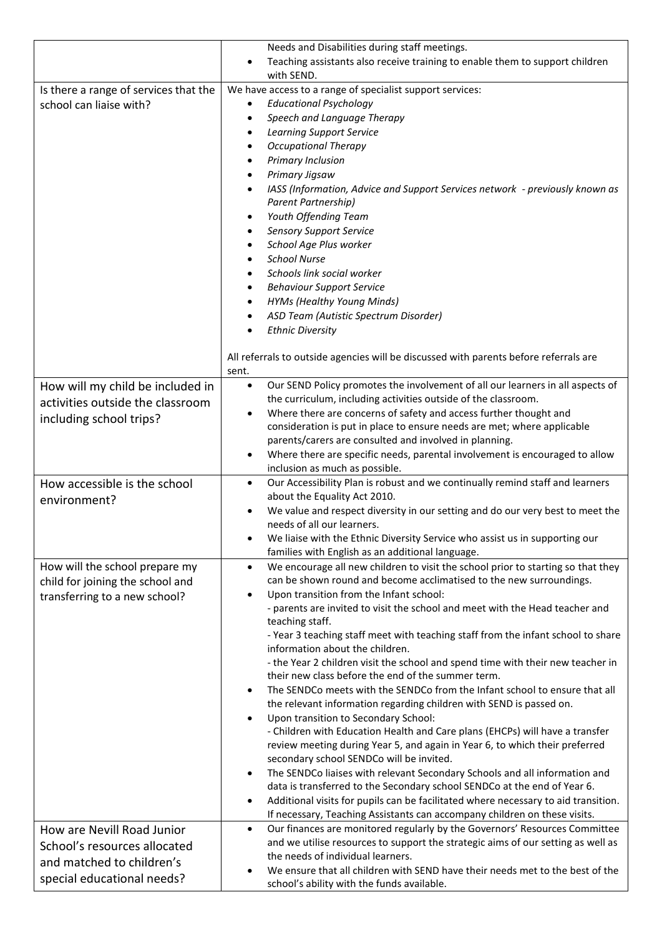|                                       | Needs and Disabilities during staff meetings.                                                                                    |
|---------------------------------------|----------------------------------------------------------------------------------------------------------------------------------|
|                                       | Teaching assistants also receive training to enable them to support children<br>with SEND.                                       |
| Is there a range of services that the | We have access to a range of specialist support services:                                                                        |
| school can liaise with?               | <b>Educational Psychology</b><br>٠                                                                                               |
|                                       | Speech and Language Therapy<br>$\bullet$                                                                                         |
|                                       | <b>Learning Support Service</b><br>$\bullet$                                                                                     |
|                                       | <b>Occupational Therapy</b><br>٠                                                                                                 |
|                                       | Primary Inclusion<br>$\bullet$                                                                                                   |
|                                       | Primary Jigsaw<br>$\bullet$                                                                                                      |
|                                       | IASS (Information, Advice and Support Services network - previously known as<br>$\bullet$                                        |
|                                       | Parent Partnership)                                                                                                              |
|                                       | Youth Offending Team<br>$\bullet$                                                                                                |
|                                       | <b>Sensory Support Service</b><br>٠                                                                                              |
|                                       | School Age Plus worker<br>$\bullet$                                                                                              |
|                                       | <b>School Nurse</b>                                                                                                              |
|                                       | Schools link social worker<br>$\bullet$                                                                                          |
|                                       | <b>Behaviour Support Service</b>                                                                                                 |
|                                       | <b>HYMs (Healthy Young Minds)</b><br>٠                                                                                           |
|                                       | ASD Team (Autistic Spectrum Disorder)                                                                                            |
|                                       | <b>Ethnic Diversity</b><br>$\bullet$                                                                                             |
|                                       |                                                                                                                                  |
|                                       | All referrals to outside agencies will be discussed with parents before referrals are<br>sent.                                   |
| How will my child be included in      | Our SEND Policy promotes the involvement of all our learners in all aspects of<br>$\bullet$                                      |
| activities outside the classroom      | the curriculum, including activities outside of the classroom.                                                                   |
|                                       | Where there are concerns of safety and access further thought and                                                                |
| including school trips?               | consideration is put in place to ensure needs are met; where applicable                                                          |
|                                       | parents/carers are consulted and involved in planning.                                                                           |
|                                       | Where there are specific needs, parental involvement is encouraged to allow                                                      |
|                                       | inclusion as much as possible.                                                                                                   |
| How accessible is the school          | Our Accessibility Plan is robust and we continually remind staff and learners<br>$\bullet$                                       |
| environment?                          | about the Equality Act 2010.                                                                                                     |
|                                       | We value and respect diversity in our setting and do our very best to meet the                                                   |
|                                       | needs of all our learners.                                                                                                       |
|                                       | We liaise with the Ethnic Diversity Service who assist us in supporting our<br>families with English as an additional language.  |
| How will the school prepare my        | We encourage all new children to visit the school prior to starting so that they<br>$\bullet$                                    |
| child for joining the school and      | can be shown round and become acclimatised to the new surroundings.                                                              |
| transferring to a new school?         | Upon transition from the Infant school:                                                                                          |
|                                       | - parents are invited to visit the school and meet with the Head teacher and                                                     |
|                                       | teaching staff.                                                                                                                  |
|                                       | - Year 3 teaching staff meet with teaching staff from the infant school to share                                                 |
|                                       | information about the children.                                                                                                  |
|                                       | - the Year 2 children visit the school and spend time with their new teacher in                                                  |
|                                       | their new class before the end of the summer term.<br>The SENDCo meets with the SENDCo from the Infant school to ensure that all |
|                                       | the relevant information regarding children with SEND is passed on.                                                              |
|                                       | Upon transition to Secondary School:                                                                                             |
|                                       | - Children with Education Health and Care plans (EHCPs) will have a transfer                                                     |
|                                       | review meeting during Year 5, and again in Year 6, to which their preferred                                                      |
|                                       | secondary school SENDCo will be invited.                                                                                         |
|                                       | The SENDCo liaises with relevant Secondary Schools and all information and<br>$\bullet$                                          |
|                                       | data is transferred to the Secondary school SENDCo at the end of Year 6.                                                         |
|                                       | Additional visits for pupils can be facilitated where necessary to aid transition.<br>$\bullet$                                  |
|                                       | If necessary, Teaching Assistants can accompany children on these visits.                                                        |
| How are Nevill Road Junior            | Our finances are monitored regularly by the Governors' Resources Committee<br>$\bullet$                                          |
| School's resources allocated          | and we utilise resources to support the strategic aims of our setting as well as                                                 |
| and matched to children's             | the needs of individual learners.                                                                                                |
| special educational needs?            | We ensure that all children with SEND have their needs met to the best of the                                                    |
|                                       | school's ability with the funds available.                                                                                       |